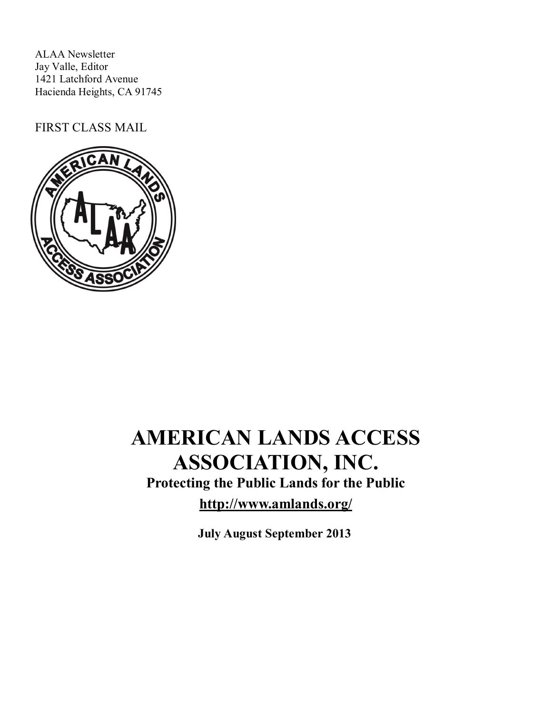ALAA Newsletter Jay Valle, Editor 1421 Latchford Avenue Hacienda Heights, CA 91745

FIRST CLASS MAIL



# **AMERICAN LANDS ACCESS ASSOCIATION, INC.**

**Protecting the Public Lands for the Public**

**http://www.amlands.org/**

**July August September 2013**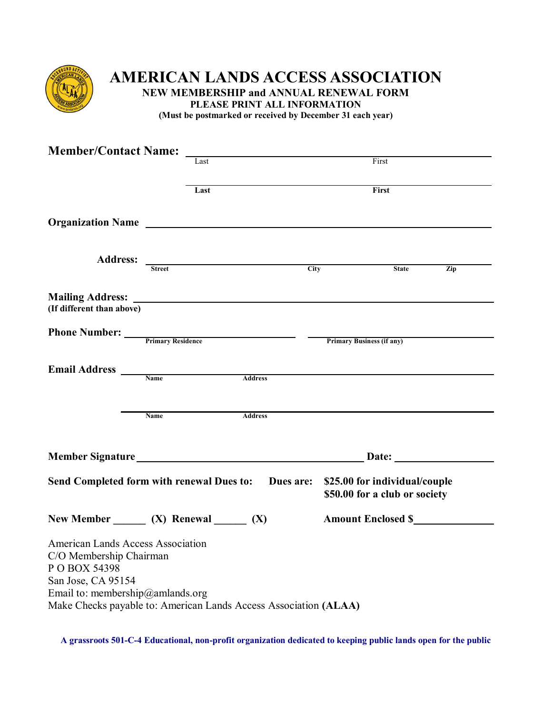

# **AMERICAN LANDS ACCESS ASSOCIATION NEW MEMBERSHIP and ANNUAL RENEWAL FORM PLEASE PRINT ALL INFORMATION**

**(Must be postmarked or received by December 31 each year)**

| <b>Member/Contact Name:</b>                                                                                                                    |                                                                  |                |                                                                                                                    |     |
|------------------------------------------------------------------------------------------------------------------------------------------------|------------------------------------------------------------------|----------------|--------------------------------------------------------------------------------------------------------------------|-----|
|                                                                                                                                                | Last                                                             | First          |                                                                                                                    |     |
|                                                                                                                                                | Last                                                             |                | First                                                                                                              |     |
|                                                                                                                                                | Organization Name                                                |                |                                                                                                                    |     |
|                                                                                                                                                |                                                                  |                |                                                                                                                    |     |
|                                                                                                                                                | Address: Street                                                  |                | City<br><b>State</b>                                                                                               | Zip |
| (If different than above)                                                                                                                      | <b>Mailing Address:</b> <u>Contract Construction</u>             |                |                                                                                                                    |     |
|                                                                                                                                                |                                                                  |                | <b>Primary Business (if any)</b>                                                                                   |     |
|                                                                                                                                                | Email Address Name                                               | <b>Address</b> |                                                                                                                    |     |
|                                                                                                                                                | <b>Name</b>                                                      | <b>Address</b> |                                                                                                                    |     |
|                                                                                                                                                |                                                                  |                |                                                                                                                    |     |
|                                                                                                                                                |                                                                  |                | Send Completed form with renewal Dues to: Dues are: \$25.00 for individual/couple<br>\$50.00 for a club or society |     |
|                                                                                                                                                | New Member $(X)$ Renewal $(X)$                                   |                |                                                                                                                    |     |
| <b>American Lands Access Association</b><br>C/O Membership Chairman<br>P O BOX 54398<br>San Jose, CA 95154<br>Email to: membership@amlands.org | Make Checks payable to: American Lands Access Association (ALAA) |                |                                                                                                                    |     |

**A grassroots 501-C-4 Educational, non-profit organization dedicated to keeping public lands open for the public**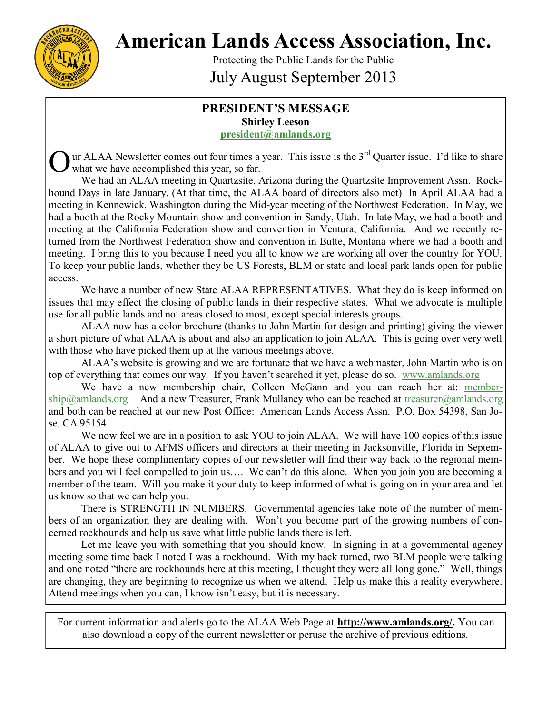

**American Lands Access Association, Inc.**

Protecting the Public Lands for the Public July August September 2013

### **PRESIDENT'S MESSAGE Shirley Leeson [president@amlands.org](mailto:president@amlands.org)**

O ur ALAA Newsletter comes out four times a year. This issue is the  $3<sup>rd</sup>$  Quarter issue. I'd like to share what we have accomplished this year, so far.

We had an ALAA meeting in Quartzsite, Arizona during the Quartzsite Improvement Assn. Rockhound Days in late January. (At that time, the ALAA board of directors also met) In April ALAA had a meeting in Kennewick, Washington during the Mid-year meeting of the Northwest Federation. In May, we had a booth at the Rocky Mountain show and convention in Sandy, Utah. In late May, we had a booth and meeting at the California Federation show and convention in Ventura, California. And we recently returned from the Northwest Federation show and convention in Butte, Montana where we had a booth and meeting. I bring this to you because I need you all to know we are working all over the country for YOU. To keep your public lands, whether they be US Forests, BLM or state and local park lands open for public access.

We have a number of new State ALAA REPRESENTATIVES. What they do is keep informed on issues that may effect the closing of public lands in their respective states. What we advocate is multiple use for all public lands and not areas closed to most, except special interests groups.

ALAA now has a color brochure (thanks to John Martin for design and printing) giving the viewer a short picture of what ALAA is about and also an application to join ALAA. This is going over very well with those who have picked them up at the various meetings above.

ALAA's website is growing and we are fortunate that we have a webmaster, John Martin who is on top of everything that comes our way. If you haven't searched it yet, please do so. [www.amlands.org](http://www.amlands.org/)

We have a new membership chair, Colleen McGann and you can reach her at: [member](mailto:membership@amlands.org)[ship@amlands.org](mailto:membership@amlands.org) And a new Treasurer, Frank Mullaney who can be reached at treasurer@amlands.org and both can be reached at our new Post Office: American Lands Access Assn. P.O. Box 54398, San Jose, CA 95154.

We now feel we are in a position to ask YOU to join ALAA. We will have 100 copies of this issue of ALAA to give out to AFMS officers and directors at their meeting in Jacksonville, Florida in September. We hope these complimentary copies of our newsletter will find their way back to the regional members and you will feel compelled to join us…. We can't do this alone. When you join you are becoming a member of the team. Will you make it your duty to keep informed of what is going on in your area and let us know so that we can help you.

There is STRENGTH IN NUMBERS. Governmental agencies take note of the number of members of an organization they are dealing with. Won't you become part of the growing numbers of concerned rockhounds and help us save what little public lands there is left.

Let me leave you with something that you should know. In signing in at a governmental agency meeting some time back I noted I was a rockhound. With my back turned, two BLM people were talking and one noted "there are rockhounds here at this meeting, I thought they were all long gone." Well, things are changing, they are beginning to recognize us when we attend. Help us make this a reality everywhere. Attend meetings when you can, I know isn't easy, but it is necessary.

For current information and alerts go to the ALAA Web Page at **http://www.amlands.org/.** You can also download a copy of the current newsletter or peruse the archive of previous editions.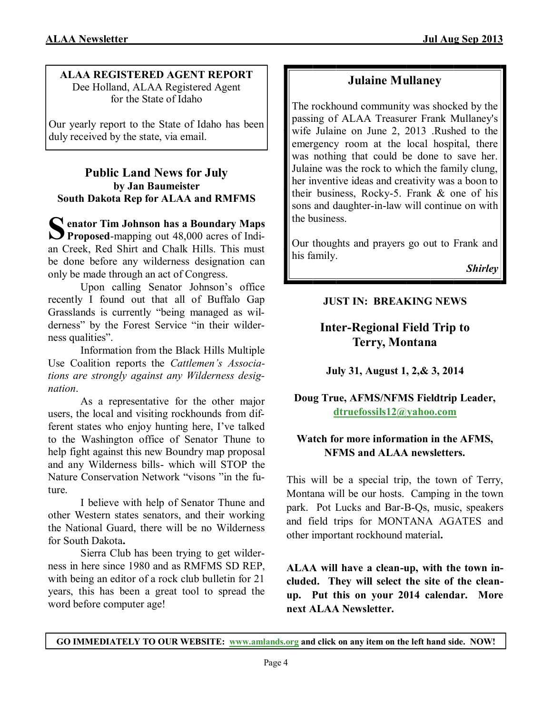# **ALAA REGISTERED AGENT REPORT**

Dee Holland, ALAA Registered Agent for the State of Idaho

Our yearly report to the State of Idaho has been duly received by the state, via email.

# **Public Land News for July by Jan Baumeister South Dakota Rep for ALAA and RMFMS**

S enator Tim Johnson has a Boundary Maps<br>
Proposed-mapping out 48,000 acres of Indi-**Proposed-mapping out 48,000 acres of Indi**an Creek, Red Shirt and Chalk Hills. This must be done before any wilderness designation can only be made through an act of Congress.

Upon calling Senator Johnson's office recently I found out that all of Buffalo Gap Grasslands is currently "being managed as wilderness" by the Forest Service "in their wilderness qualities".

Information from the Black Hills Multiple Use Coalition reports the *Cattlemen's Associations are strongly against any Wilderness designation*.

As a representative for the other major users, the local and visiting rockhounds from different states who enjoy hunting here, I've talked to the Washington office of Senator Thune to help fight against this new Boundry map proposal and any Wilderness bills- which will STOP the Nature Conservation Network "visons "in the future.

I believe with help of Senator Thune and other Western states senators, and their working the National Guard, there will be no Wilderness for South Dakota**.** 

Sierra Club has been trying to get wilderness in here since 1980 and as RMFMS SD REP, with being an editor of a rock club bulletin for 21 years, this has been a great tool to spread the word before computer age!

# **Julaine Mullaney**

The rockhound community was shocked by the passing of ALAA Treasurer Frank Mullaney's wife Julaine on June 2, 2013 .Rushed to the emergency room at the local hospital, there was nothing that could be done to save her. Julaine was the rock to which the family clung, her inventive ideas and creativity was a boon to their business, Rocky-5. Frank & one of his sons and daughter-in-law will continue on with the business.

Our thoughts and prayers go out to Frank and his family.

*Shirley*

# **JUST IN: BREAKING NEWS**

# **Inter-Regional Field Trip to Terry, Montana**

**July 31, August 1, 2,& 3, 2014**

# **Doug True, AFMS/NFMS Fieldtrip Leader, [dtruefossils12@yahoo.com](mailto:dtruefossils12@yahoo.com)**

# **Watch for more information in the AFMS, NFMS and ALAA newsletters.**

This will be a special trip, the town of Terry, Montana will be our hosts. Camping in the town park. Pot Lucks and Bar-B-Qs, music, speakers and field trips for MONTANA AGATES and other important rockhound material**.**

**ALAA will have a clean-up, with the town included. They will select the site of the cleanup. Put this on your 2014 calendar. More next ALAA Newsletter.**

**GO IMMEDIATELY TO OUR WEBSITE: [www.amlands.org](http://www.amlands.org) and click on any item on the left hand side. NOW!**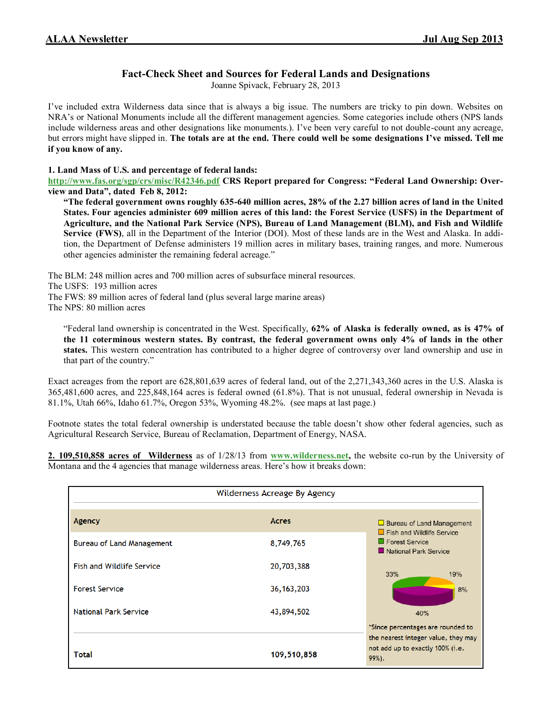Joanne Spivack, February 28, 2013

I've included extra Wilderness data since that is always a big issue. The numbers are tricky to pin down. Websites on NRA's or National Monuments include all the different management agencies. Some categories include others (NPS lands include wilderness areas and other designations like monuments.). I've been very careful to not double-count any acreage, but errors might have slipped in. **The totals are at the end. There could well be some designations I've missed. Tell me if you know of any.**

#### **1. Land Mass of U.S. and percentage of federal lands:**

**<http://www.fas.org/sgp/crs/misc/R42346.pdf> CRS Report prepared for Congress: "Federal Land Ownership: Overview and Data", dated Feb 8, 2012:**

**"The federal government owns roughly 635-640 million acres, 28% of the 2.27 billion acres of land in the United States. Four agencies administer 609 million acres of this land: the Forest Service (USFS) in the Department of Agriculture, and the National Park Service (NPS), Bureau of Land Management (BLM), and Fish and Wildlife Service (FWS)**, all in the Department of the Interior (DOI). Most of these lands are in the West and Alaska. In addition, the Department of Defense administers 19 million acres in military bases, training ranges, and more. Numerous other agencies administer the remaining federal acreage."

The BLM: 248 million acres and 700 million acres of subsurface mineral resources. The USFS: 193 million acres

The FWS: 89 million acres of federal land (plus several large marine areas)

The NPS: 80 million acres

"Federal land ownership is concentrated in the West. Specifically, **62% of Alaska is federally owned, as is 47% of the 11 coterminous western states. By contrast, the federal government owns only 4% of lands in the other states.** This western concentration has contributed to a higher degree of controversy over land ownership and use in that part of the country."

Exact acreages from the report are 628,801,639 acres of federal land, out of the 2,271,343,360 acres in the U.S. Alaska is 365,481,600 acres, and 225,848,164 acres is federal owned (61.8%). That is not unusual, federal ownership in Nevada is 81.1%, Utah 66%, Idaho 61.7%, Oregon 53%, Wyoming 48.2%. (see maps at last page.)

Footnote states the total federal ownership is understated because the table doesn't show other federal agencies, such as Agricultural Research Service, Bureau of Reclamation, Department of Energy, NASA.

**2. 109,510,858 acres of Wilderness** as of 1/28/13 from **[www.wilderness.net,](http://www.wilderness.net)** the website co-run by the University of Montana and the 4 agencies that manage wilderness areas. Here's how it breaks down:

| Wilderness Acreage By Agency     |              |                                                                                                                        |  |  |
|----------------------------------|--------------|------------------------------------------------------------------------------------------------------------------------|--|--|
| Agency                           | <b>Acres</b> | $\Box$ Bureau of Land Management<br>$\Box$ Fish and Wildlife Service<br>$\Box$ Forest Service<br>National Park Service |  |  |
| <b>Bureau of Land Management</b> | 8,749,765    |                                                                                                                        |  |  |
| <b>Fish and Wildlife Service</b> | 20,703,388   | 33%<br>19%                                                                                                             |  |  |
| <b>Forest Service</b>            | 36, 163, 203 | 8%                                                                                                                     |  |  |
| <b>National Park Service</b>     | 43,894,502   | 40%                                                                                                                    |  |  |
|                                  |              | *Since percentages are rounded to                                                                                      |  |  |
| Total                            | 109,510,858  | the nearest integer value, they may<br>not add up to exactly 100% (i.e.<br>99%).                                       |  |  |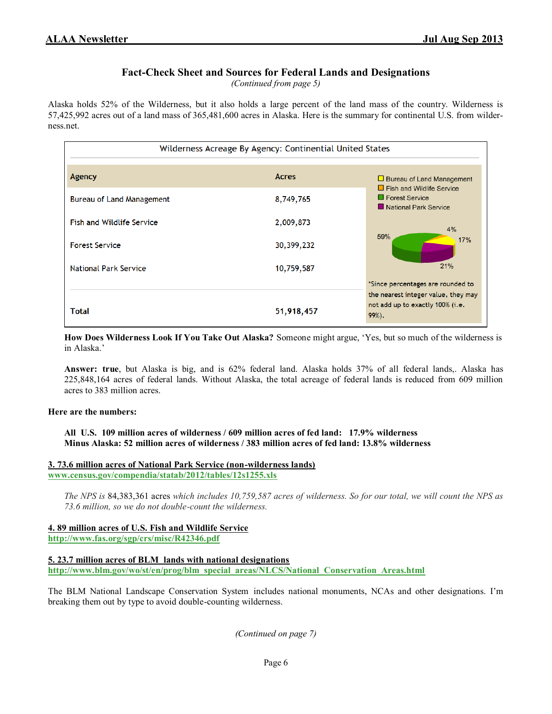*(Continued from page 5)*

Alaska holds 52% of the Wilderness, but it also holds a large percent of the land mass of the country. Wilderness is 57,425,992 acres out of a land mass of 365,481,600 acres in Alaska. Here is the summary for continental U.S. from wilderness.net.

| Wilderness Acreage By Agency: Continential United States |              |                                                                                      |  |  |
|----------------------------------------------------------|--------------|--------------------------------------------------------------------------------------|--|--|
| Agency                                                   | <b>Acres</b> | $\Box$ Bureau of Land Management<br>$\Box$ Fish and Wildlife Service                 |  |  |
| Bureau of Land Management                                | 8,749,765    | $\blacksquare$ Forest Service<br>National Park Service                               |  |  |
| <b>Fish and Wildlife Service</b>                         | 2,009,873    | 4%                                                                                   |  |  |
| <b>Forest Service</b>                                    | 30,399,232   | 59%<br>17%                                                                           |  |  |
| <b>National Park Service</b>                             | 10,759,587   | 21%                                                                                  |  |  |
|                                                          |              | *Since percentages are rounded to                                                    |  |  |
| Total                                                    | 51,918,457   | the nearest integer value, they may<br>not add up to exactly 100% (i.e.<br>$99\%$ ). |  |  |

**How Does Wilderness Look If You Take Out Alaska?** Someone might argue, 'Yes, but so much of the wilderness is in Alaska.'

**Answer: true**, but Alaska is big, and is 62% federal land. Alaska holds 37% of all federal lands,. Alaska has 225,848,164 acres of federal lands. Without Alaska, the total acreage of federal lands is reduced from 609 million acres to 383 million acres.

#### **Here are the numbers:**

**All U.S. 109 million acres of wilderness / 609 million acres of fed land: 17.9% wilderness Minus Alaska: 52 million acres of wilderness / 383 million acres of fed land: 13.8% wilderness**

#### **3. 73.6 million acres of National Park Service (non-wilderness lands)**

**[www.census.gov/compendia/statab/2012/tables/12s1255.xls](http://www.census.gov/compendia/statab/2012/tables/12s1255.xls)**

*The NPS is* 84,383,361 acres *which includes 10,759,587 acres of wilderness. So for our total, we will count the NPS as 73.6 million, so we do not double-count the wilderness.*

**4. 89 million acres of U.S. Fish and Wildlife Service <http://www.fas.org/sgp/crs/misc/R42346.pdf>**

**5. 23.7 million acres of BLM lands with national designations**

**[http://www.blm.gov/wo/st/en/prog/blm\\_special\\_areas/NLCS/National\\_Conservation\\_Areas.html](http://www.blm.gov/wo/st/en/prog/blm_special_areas/NLCS/National_Conservation_Areas.html)**

The BLM National Landscape Conservation System includes national monuments, NCAs and other designations. I'm breaking them out by type to avoid double-counting wilderness.

*(Continued on page 7)*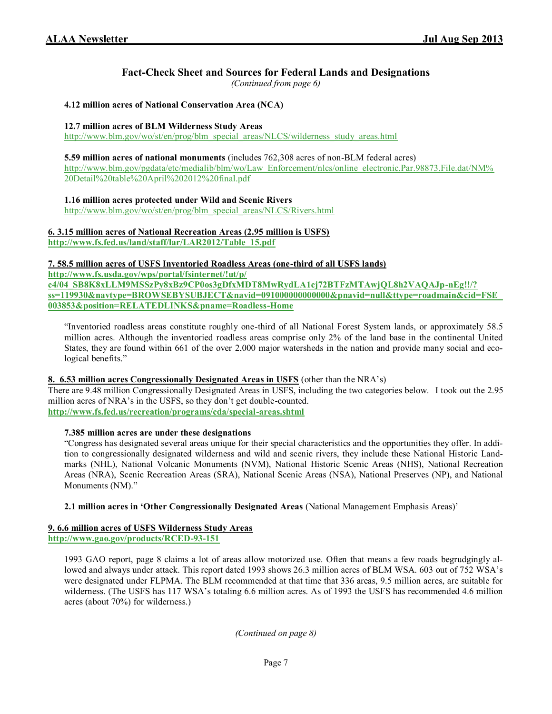*(Continued from page 6)*

#### **4.12 million acres of National Conservation Area (NCA)**

#### **12.7 million acres of BLM Wilderness Study Areas**

[http://www.blm.gov/wo/st/en/prog/blm\\_special\\_areas/NLCS/wilderness\\_study\\_areas.html](http://www.blm.gov/wo/st/en/prog/blm_special_areas/NLCS/wilderness_study_areas.html)

#### **5.59 million acres of national monuments** (includes 762,308 acres of non-BLM federal acres)

[http://www.blm.gov/pgdata/etc/medialib/blm/wo/Law\\_Enforcement/nlcs/online\\_electronic.Par.98873.File.dat/NM%](http://www.blm.gov/pgdata/etc/medialib/blm/wo/Law_Enforcement/nlcs/online_electronic.Par.98873.File.dat/NM%20Detail%20table%20April%202012%20final.pdf) [20Detail%20table%20April%202012%20final.pdf](http://www.blm.gov/pgdata/etc/medialib/blm/wo/Law_Enforcement/nlcs/online_electronic.Par.98873.File.dat/NM%20Detail%20table%20April%202012%20final.pdf)

**1.16 million acres protected under Wild and Scenic Rivers**

[http://www.blm.gov/wo/st/en/prog/blm\\_special\\_areas/NLCS/Rivers.html](http://www.blm.gov/wo/st/en/prog/blm_special_areas/NLCS/Rivers.html)

#### **6. 3.15 million acres of National Recreation Areas (2.95 million is USFS)**

**[http://www.fs.fed.us/land/staff/lar/LAR2012/Table\\_15.pdf](http://www.fs.fed.us/land/staff/lar/LAR2012/Table_15.pdf)**

#### **7. 58.5 million acres of USFS Inventoried Roadless Areas (one-third of all USFS lands)**

**[http://www.fs.usda.gov/wps/portal/fsinternet/!ut/p/](http://www.fs.usda.gov/wps/portal/fsinternet/!ut/p/c4/04_SB8K8xLLM9MSSzPy8xBz9CP0os3gDfxMDT8MwRydLA1cj72BTFzMTAwjQL8h2VAQAJp-nEg!!/?ss=119930&navtype=BROWSEBYSUBJECT&navid=091000000000000&pnavid=null&ttype=roadmain&cid=FSE_003853&position=RELATEDLINKS&pname=R) [c4/04\\_SB8K8xLLM9MSSzPy8xBz9CP0os3gDfxMDT8MwRydLA1cj72BTFzMTAwjQL8h2VAQAJp](http://www.fs.usda.gov/wps/portal/fsinternet/!ut/p/c4/04_SB8K8xLLM9MSSzPy8xBz9CP0os3gDfxMDT8MwRydLA1cj72BTFzMTAwjQL8h2VAQAJp-nEg!!/?ss=119930&navtype=BROWSEBYSUBJECT&navid=091000000000000&pnavid=null&ttype=roadmain&cid=FSE_003853&position=RELATEDLINKS&pname=R)-nEg!!/? [ss=119930&navtype=BROWSEBYSUBJECT&navid=091000000000000&pnavid=null&ttype=roadmain&cid=FSE\\_](http://www.fs.usda.gov/wps/portal/fsinternet/!ut/p/c4/04_SB8K8xLLM9MSSzPy8xBz9CP0os3gDfxMDT8MwRydLA1cj72BTFzMTAwjQL8h2VAQAJp-nEg!!/?ss=119930&navtype=BROWSEBYSUBJECT&navid=091000000000000&pnavid=null&ttype=roadmain&cid=FSE_003853&position=RELATEDLINKS&pname=R) [003853&position=RELATEDLINKS&pname=Roadless](http://www.fs.usda.gov/wps/portal/fsinternet/!ut/p/c4/04_SB8K8xLLM9MSSzPy8xBz9CP0os3gDfxMDT8MwRydLA1cj72BTFzMTAwjQL8h2VAQAJp-nEg!!/?ss=119930&navtype=BROWSEBYSUBJECT&navid=091000000000000&pnavid=null&ttype=roadmain&cid=FSE_003853&position=RELATEDLINKS&pname=R)-Home**

"Inventoried roadless areas constitute roughly one-third of all National Forest System lands, or approximately 58.5 million acres. Although the inventoried roadless areas comprise only 2% of the land base in the continental United States, they are found within 661 of the over 2,000 major watersheds in the nation and provide many social and ecological benefits."

#### **8. 6.53 million acres Congressionally Designated Areas in USFS** (other than the NRA's)

There are 9.48 million Congressionally Designated Areas in USFS, including the two categories below. I took out the 2.95 million acres of NRA's in the USFS, so they don't get double-counted.

**[http://www.fs.fed.us/recreation/programs/cda/special](http://www.fs.fed.us/recreation/programs/cda/special-areas.shtml)-areas.shtml**

#### **7.385 million acres are under these designations**

"Congress has designated several areas unique for their special characteristics and the opportunities they offer. In addition to congressionally designated wilderness and wild and scenic rivers, they include these National Historic Landmarks (NHL), National Volcanic Monuments (NVM), National Historic Scenic Areas (NHS), National Recreation Areas (NRA), Scenic Recreation Areas (SRA), National Scenic Areas (NSA), National Preserves (NP), and National Monuments (NM)."

**2.1 million acres in 'Other Congressionally Designated Areas** (National Management Emphasis Areas)'

# **9. 6.6 million acres of USFS Wilderness Study Areas**

**[http://www.gao.gov/products/RCED](http://www.gao.gov/products/RCED-93-151)-93-151**

1993 GAO report, page 8 claims a lot of areas allow motorized use. Often that means a few roads begrudgingly allowed and always under attack. This report dated 1993 shows 26.3 million acres of BLM WSA. 603 out of 752 WSA's were designated under FLPMA. The BLM recommended at that time that 336 areas, 9.5 million acres, are suitable for wilderness. (The USFS has 117 WSA's totaling 6.6 million acres. As of 1993 the USFS has recommended 4.6 million acres (about 70%) for wilderness.)

*(Continued on page 8)*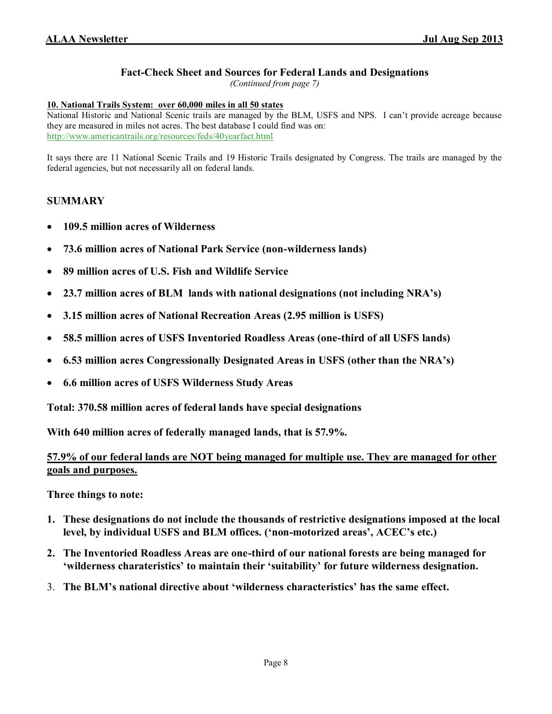*(Continued from page 7)*

#### **10. National Trails System: over 60,000 miles in all 50 states**

National Historic and National Scenic trails are managed by the BLM, USFS and NPS. I can't provide acreage because they are measured in miles not acres. The best database I could find was on: <http://www.americantrails.org/resources/feds/40yearfact.html>

It says there are 11 National Scenic Trails and 19 Historic Trails designated by Congress. The trails are managed by the federal agencies, but not necessarily all on federal lands.

#### **SUMMARY**

- **109.5 million acres of Wilderness**
- **73.6 million acres of National Park Service (non-wilderness lands)**
- **89 million acres of U.S. Fish and Wildlife Service**
- **23.7 million acres of BLM lands with national designations (not including NRA's)**
- **3.15 million acres of National Recreation Areas (2.95 million is USFS)**
- **58.5 million acres of USFS Inventoried Roadless Areas (one-third of all USFS lands)**
- **6.53 million acres Congressionally Designated Areas in USFS (other than the NRA's)**
- **6.6 million acres of USFS Wilderness Study Areas**

**Total: 370.58 million acres of federal lands have special designations** 

**With 640 million acres of federally managed lands, that is 57.9%.**

#### **57.9% of our federal lands are NOT being managed for multiple use. They are managed for other goals and purposes.**

**Three things to note:** 

- **1. These designations do not include the thousands of restrictive designations imposed at the local level, by individual USFS and BLM offices. ('non-motorized areas', ACEC's etc.)**
- **2. The Inventoried Roadless Areas are one-third of our national forests are being managed for 'wilderness charateristics' to maintain their 'suitability' for future wilderness designation.**
- 3. **The BLM's national directive about 'wilderness characteristics' has the same effect.**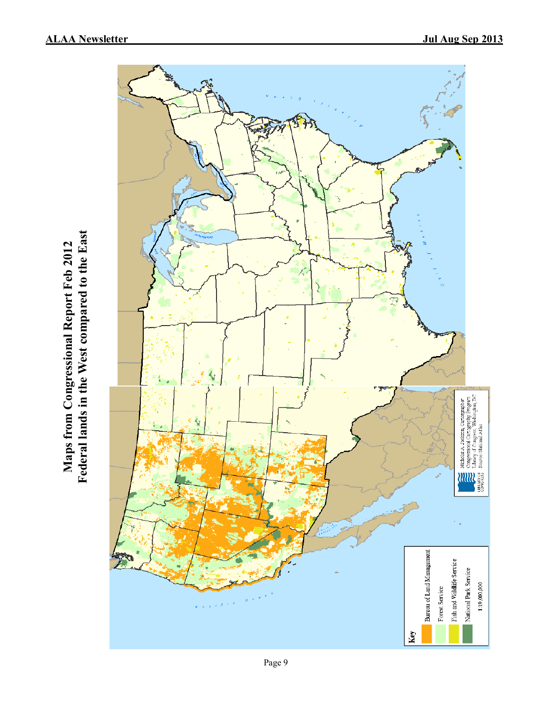

Federal lands in the West compared to the East **Maps from Congressional Report Feb 2012 Federal lands in the West compared to the East**Maps from Congressional Report Feb 2012

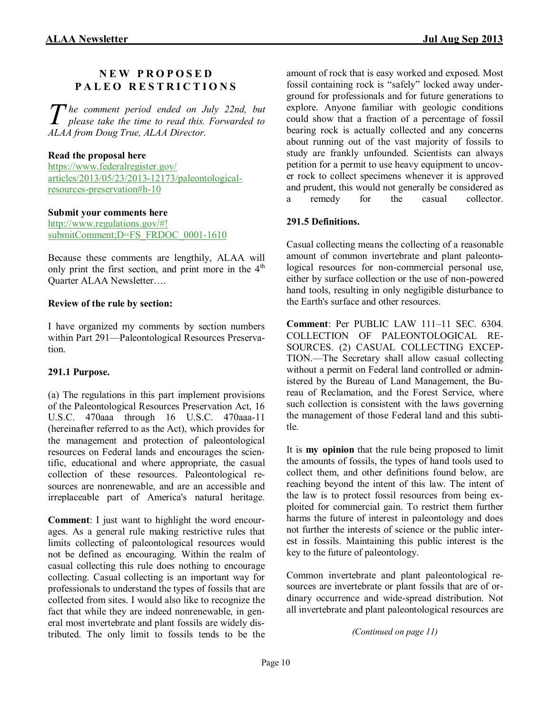### **N E W P R O P O S E D P A L E O R E S T R I C T I O N S**

The comment period ended on July 22nd, but please take the time to read this. Forwarded to *please take the time to read this. Forwarded to ALAA from Doug True, ALAA Director.*

#### **Read the proposal here**

[https://www.federalregister.gov/](http://www.facebook.com/l/YAQGj0df8/https%3A%2F%2Fwww.federalregister.gov%2Farticles%2F2013%2F05%2F23%2F2013-12173%2Fpaleontological-resources-preservation%2523h-10) [articles/2013/05/23/2013](http://www.facebook.com/l/YAQGj0df8/https%3A%2F%2Fwww.federalregister.gov%2Farticles%2F2013%2F05%2F23%2F2013-12173%2Fpaleontological-resources-preservation%2523h-10)-12173/paleontologicalresources-[preservation#h](http://www.facebook.com/l/YAQGj0df8/https%3A%2F%2Fwww.federalregister.gov%2Farticles%2F2013%2F05%2F23%2F2013-12173%2Fpaleontological-resources-preservation%2523h-10)-10

#### **Submit your comments here**

[http://www.regulations.gov/#!](http://www.facebook.com/l/0AQGBJmng/www.regulations.gov/%23!submitComment;D=FS_FRDOC_0001-1610) [submitComment;D=FS\\_FRDOC\\_0001](http://www.facebook.com/l/0AQGBJmng/www.regulations.gov/%23!submitComment;D=FS_FRDOC_0001-1610)-1610

Because these comments are lengthily, ALAA will only print the first section, and print more in the  $4<sup>th</sup>$ Quarter ALAA Newsletter….

#### **Review of the rule by section:**

I have organized my comments by section numbers within Part 291—Paleontological Resources Preservation.

#### **291.1 Purpose.**

(a) The regulations in this part implement provisions of the Paleontological Resources Preservation Act, 16 U.S.C. 470aaa through 16 U.S.C. 470aaa-11 (hereinafter referred to as the Act), which provides for the management and protection of paleontological resources on Federal lands and encourages the scientific, educational and where appropriate, the casual collection of these resources. Paleontological resources are nonrenewable, and are an accessible and irreplaceable part of America's natural heritage.

**Comment**: I just want to highlight the word encourages. As a general rule making restrictive rules that limits collecting of paleontological resources would not be defined as encouraging. Within the realm of casual collecting this rule does nothing to encourage collecting. Casual collecting is an important way for professionals to understand the types of fossils that are collected from sites. I would also like to recognize the fact that while they are indeed nonrenewable, in general most invertebrate and plant fossils are widely distributed. The only limit to fossils tends to be the

amount of rock that is easy worked and exposed. Most fossil containing rock is "safely" locked away underground for professionals and for future generations to explore. Anyone familiar with geologic conditions could show that a fraction of a percentage of fossil bearing rock is actually collected and any concerns about running out of the vast majority of fossils to study are frankly unfounded. Scientists can always petition for a permit to use heavy equipment to uncover rock to collect specimens whenever it is approved and prudent, this would not generally be considered as a remedy for the casual collector.

#### **291.5 Definitions.**

Casual collecting means the collecting of a reasonable amount of common invertebrate and plant paleontological resources for non-commercial personal use, either by surface collection or the use of non-powered hand tools, resulting in only negligible disturbance to the Earth's surface and other resources.

**Comment**: Per PUBLIC LAW 111–11 SEC. 6304. COLLECTION OF PALEONTOLOGICAL RE-SOURCES. (2) CASUAL COLLECTING EXCEP-TION.—The Secretary shall allow casual collecting without a permit on Federal land controlled or administered by the Bureau of Land Management, the Bureau of Reclamation, and the Forest Service, where such collection is consistent with the laws governing the management of those Federal land and this subtitle.

It is **my opinion** that the rule being proposed to limit the amounts of fossils, the types of hand tools used to collect them, and other definitions found below, are reaching beyond the intent of this law. The intent of the law is to protect fossil resources from being exploited for commercial gain. To restrict them further harms the future of interest in paleontology and does not further the interests of science or the public interest in fossils. Maintaining this public interest is the key to the future of paleontology.

Common invertebrate and plant paleontological resources are invertebrate or plant fossils that are of ordinary occurrence and wide-spread distribution. Not all invertebrate and plant paleontological resources are

*(Continued on page 11)*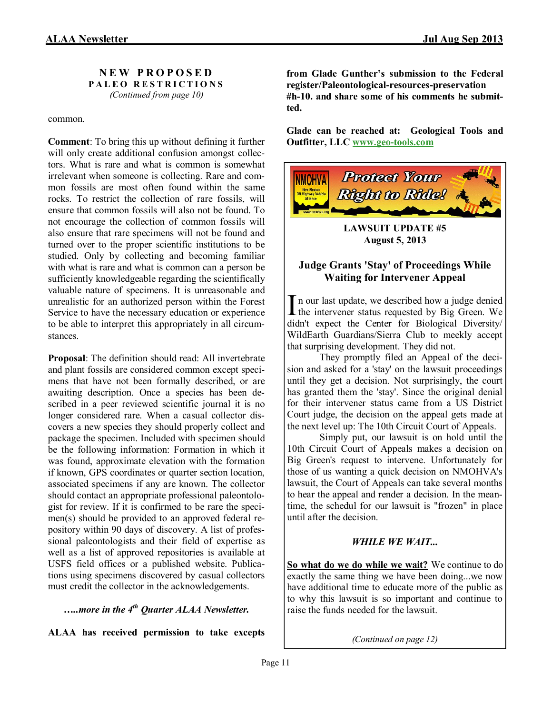**N E W P R O P O S E D P A L E O R E S T R I C T I O N S** *(Continued from page 10)*

common.

**Comment**: To bring this up without defining it further will only create additional confusion amongst collectors. What is rare and what is common is somewhat irrelevant when someone is collecting. Rare and common fossils are most often found within the same rocks. To restrict the collection of rare fossils, will ensure that common fossils will also not be found. To not encourage the collection of common fossils will also ensure that rare specimens will not be found and turned over to the proper scientific institutions to be studied. Only by collecting and becoming familiar with what is rare and what is common can a person be sufficiently knowledgeable regarding the scientifically valuable nature of specimens. It is unreasonable and unrealistic for an authorized person within the Forest Service to have the necessary education or experience to be able to interpret this appropriately in all circumstances.

**Proposal**: The definition should read: All invertebrate and plant fossils are considered common except specimens that have not been formally described, or are awaiting description. Once a species has been described in a peer reviewed scientific journal it is no longer considered rare. When a casual collector discovers a new species they should properly collect and package the specimen. Included with specimen should be the following information: Formation in which it was found, approximate elevation with the formation if known, GPS coordinates or quarter section location, associated specimens if any are known. The collector should contact an appropriate professional paleontologist for review. If it is confirmed to be rare the specimen(s) should be provided to an approved federal repository within 90 days of discovery. A list of professional paleontologists and their field of expertise as well as a list of approved repositories is available at USFS field offices or a published website. Publications using specimens discovered by casual collectors must credit the collector in the acknowledgements.

#### *…..more in the 4th Quarter ALAA Newsletter.*

**ALAA has received permission to take excepts** 

**from Glade Gunther's submission to the Federal register/Paleontological-resources-preservation #h-10. and share some of his comments he submitted.** 

**Glade can be reached at: Geological Tools and Outfitter, LLC www.geo-[tools.com](http://www.geo-tools.com/)**



**LAWSUIT UPDATE #5 August 5, 2013**

#### **Judge Grants 'Stay' of Proceedings While Waiting for Intervener Appeal**

In our last update, we described how a judge denied<br>the intervener status requested by Big Green. We n our last update, we described how a judge denied didn't expect the Center for Biological Diversity/ WildEarth Guardians/Sierra Club to meekly accept that surprising development. They did not.

They promptly filed an Appeal of the decision and asked for a 'stay' on the lawsuit proceedings until they get a decision. Not surprisingly, the court has granted them the 'stay'. Since the original denial for their intervener status came from a US District Court judge, the decision on the appeal gets made at the next level up: The 10th Circuit Court of Appeals.

Simply put, our lawsuit is on hold until the 10th Circuit Court of Appeals makes a decision on Big Green's request to intervene. Unfortunately for those of us wanting a quick decision on NMOHVA's lawsuit, the Court of Appeals can take several months to hear the appeal and render a decision. In the meantime, the schedul for our lawsuit is "frozen" in place until after the decision.

#### *WHILE WE WAIT...*

**So what do we do while we wait?** We continue to do exactly the same thing we have been doing...we now have additional time to educate more of the public as to why this lawsuit is so important and continue to raise the funds needed for the lawsuit.

*(Continued on page 12)*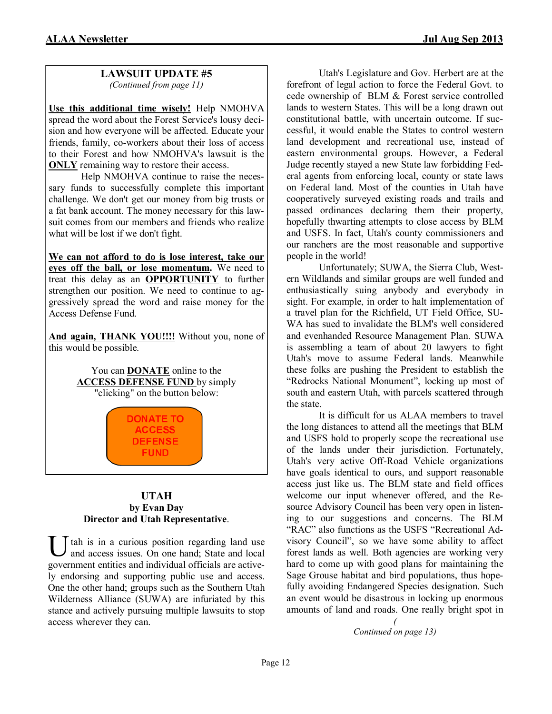#### **LAWSUIT UPDATE #5** *(Continued from page 11)*

**Use this additional time wisely!** Help NMOHVA spread the word about the Forest Service's lousy decision and how everyone will be affected. Educate your friends, family, co-workers about their loss of access to their Forest and how NMOHVA's lawsuit is the **ONLY** remaining way to restore their access.

Help NMOHVA continue to raise the necessary funds to successfully complete this important challenge. We don't get our money from big trusts or a fat bank account. The money necessary for this lawsuit comes from our members and friends who realize what will be lost if we don't fight.

**We can not afford to do is lose interest, take our eyes off the ball, or lose momentum.** We need to treat this delay as an **OPPORTUNITY** to further strengthen our position. We need to continue to aggressively spread the word and raise money for the Access Defense Fund.

**And again, THANK YOU!!!!** Without you, none of this would be possible.

> You can **DONATE** online to the **ACCESS DEFENSE FUND** by simply "clicking" on the button below:

> > **DONATE TO ACCESS DEFENSE FUND**

#### **UTAH by Evan Day Director and Utah Representative**.

U tah is in a curious position regarding land use<br>and access issues. On one hand; State and local and access issues. On one hand; State and local government entities and individual officials are actively endorsing and supporting public use and access. One the other hand; groups such as the Southern Utah Wilderness Alliance (SUWA) are infuriated by this stance and actively pursuing multiple lawsuits to stop access wherever they can.

Utah's Legislature and Gov. Herbert are at the forefront of legal action to force the Federal Govt. to cede ownership of BLM & Forest service controlled lands to western States. This will be a long drawn out constitutional battle, with uncertain outcome. If successful, it would enable the States to control western land development and recreational use, instead of eastern environmental groups. However, a Federal Judge recently stayed a new State law forbidding Federal agents from enforcing local, county or state laws on Federal land. Most of the counties in Utah have cooperatively surveyed existing roads and trails and passed ordinances declaring them their property, hopefully thwarting attempts to close access by BLM and USFS. In fact, Utah's county commissioners and our ranchers are the most reasonable and supportive people in the world!

Unfortunately; SUWA, the Sierra Club, Western Wildlands and similar groups are well funded and enthusiastically suing anybody and everybody in sight. For example, in order to halt implementation of a travel plan for the Richfield, UT Field Office, SU-WA has sued to invalidate the BLM's well considered and evenhanded Resource Management Plan. SUWA is assembling a team of about 20 lawyers to fight Utah's move to assume Federal lands. Meanwhile these folks are pushing the President to establish the "Redrocks National Monument", locking up most of south and eastern Utah, with parcels scattered through the state.

It is difficult for us ALAA members to travel the long distances to attend all the meetings that BLM and USFS hold to properly scope the recreational use of the lands under their jurisdiction. Fortunately, Utah's very active Off-Road Vehicle organizations have goals identical to ours, and support reasonable access just like us. The BLM state and field offices welcome our input whenever offered, and the Resource Advisory Council has been very open in listening to our suggestions and concerns. The BLM "RAC" also functions as the USFS "Recreational Advisory Council", so we have some ability to affect forest lands as well. Both agencies are working very hard to come up with good plans for maintaining the Sage Grouse habitat and bird populations, thus hopefully avoiding Endangered Species designation. Such an event would be disastrous in locking up enormous amounts of land and roads. One really bright spot in

> *( Continued on page 13)*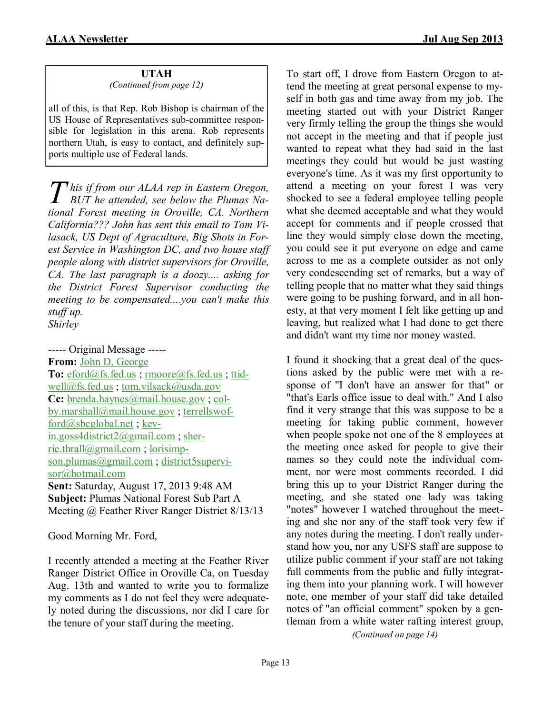#### **UTAH** *(Continued from page 12)*

all of this, is that Rep. Rob Bishop is chairman of the US House of Representatives sub-committee responsible for legislation in this arena. Rob represents northern Utah, is easy to contact, and definitely supports multiple use of Federal lands.

*T his if from our ALAA rep in Eastern Oregon, BUT he attended, see below the Plumas National Forest meeting in Oroville, CA. Northern California??? John has sent this email to Tom Vilasack, US Dept of Agraculture, Big Shots in Forest Service in Washington DC, and two house staff people along with district supervisors for Oroville, CA. The last paragraph is a doozy.... asking for the District Forest Supervisor conducting the meeting to be compensated....you can't make this stuff up. Shirley*

----- Original Message ----- **From:** [John D, George](mailto:oregonranchhand@yahoo.com) **To:** [eford@fs.fed.us](mailto:eford@fs.fed.us) ; [rmoore@fs.fed.us](mailto:rmoore@fs.fed.us) ; [ttid](mailto:ttidwell@fs.fed.us)[well@fs.fed.us](mailto:ttidwell@fs.fed.us) ; [tom.vilsack@usda.gov](mailto:tom.vilsack@usda.gov) **Cc:** [brenda.haynes@mail.house.gov](mailto:brenda.haynes@mail.house.gov); [col](mailto:colby.marshall@mail.house.gov)[by.marshall@mail.house.gov](mailto:colby.marshall@mail.house.gov) ; [terrellswof](mailto:terrellswofford@sbcglobal.net)[ford@sbcglobal.net](mailto:terrellswofford@sbcglobal.net) ; [kev](mailto:kevin.goss4district2@gmail.com)[in.goss4district2@gmail.com](mailto:kevin.goss4district2@gmail.com) ; [sher](mailto:sherrie.thrall@gmail.com)[rie.thrall@gmail.com](mailto:sherrie.thrall@gmail.com) ; [lorisimp](mailto:lorisimpson.plumas@gmail.com)[son.plumas@gmail.com](mailto:lorisimpson.plumas@gmail.com); [district5supervi](mailto:district5supervisor@hotmail.com)[sor@hotmail.com](mailto:district5supervisor@hotmail.com) **Sent:** Saturday, August 17, 2013 9:48 AM **Subject:** Plumas National Forest Sub Part A Meeting @ Feather River Ranger District 8/13/13

Good Morning Mr. Ford,

I recently attended a meeting at the Feather River Ranger District Office in Oroville Ca, on Tuesday Aug. 13th and wanted to write you to formalize my comments as I do not feel they were adequately noted during the discussions, nor did I care for the tenure of your staff during the meeting.

To start off, I drove from Eastern Oregon to attend the meeting at great personal expense to myself in both gas and time away from my job. The meeting started out with your District Ranger very firmly telling the group the things she would not accept in the meeting and that if people just wanted to repeat what they had said in the last meetings they could but would be just wasting everyone's time. As it was my first opportunity to attend a meeting on your forest I was very shocked to see a federal employee telling people what she deemed acceptable and what they would accept for comments and if people crossed that line they would simply close down the meeting, you could see it put everyone on edge and came across to me as a complete outsider as not only very condescending set of remarks, but a way of telling people that no matter what they said things were going to be pushing forward, and in all honesty, at that very moment I felt like getting up and leaving, but realized what I had done to get there and didn't want my time nor money wasted.

I found it shocking that a great deal of the questions asked by the public were met with a response of "I don't have an answer for that" or "that's Earls office issue to deal with." And I also find it very strange that this was suppose to be a meeting for taking public comment, however when people spoke not one of the 8 employees at the meeting once asked for people to give their names so they could note the individual comment, nor were most comments recorded. I did bring this up to your District Ranger during the meeting, and she stated one lady was taking "notes" however I watched throughout the meeting and she nor any of the staff took very few if any notes during the meeting. I don't really understand how you, nor any USFS staff are suppose to utilize public comment if your staff are not taking full comments from the public and fully integrating them into your planning work. I will however note, one member of your staff did take detailed notes of "an official comment" spoken by a gentleman from a white water rafting interest group,

*(Continued on page 14)*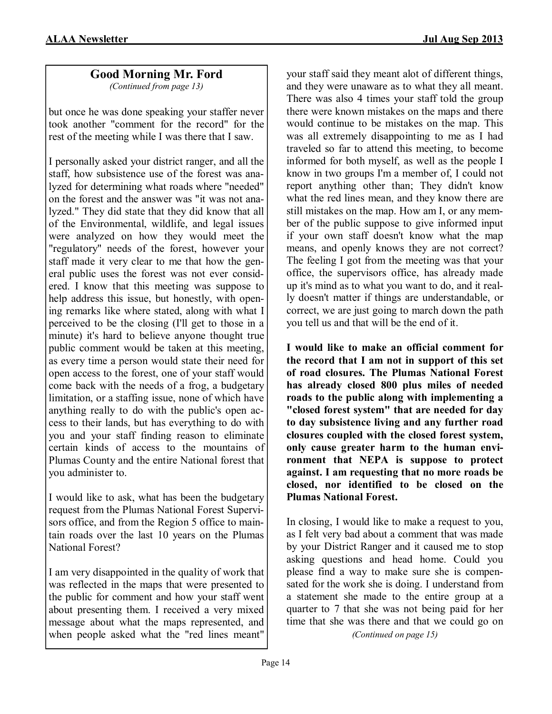# **Good Morning Mr. Ford**

*(Continued from page 13)*

but once he was done speaking your staffer never took another "comment for the record" for the rest of the meeting while I was there that I saw.

I personally asked your district ranger, and all the staff, how subsistence use of the forest was analyzed for determining what roads where "needed" on the forest and the answer was "it was not analyzed." They did state that they did know that all of the Environmental, wildlife, and legal issues were analyzed on how they would meet the "regulatory" needs of the forest, however your staff made it very clear to me that how the general public uses the forest was not ever considered. I know that this meeting was suppose to help address this issue, but honestly, with opening remarks like where stated, along with what I perceived to be the closing (I'll get to those in a minute) it's hard to believe anyone thought true public comment would be taken at this meeting, as every time a person would state their need for open access to the forest, one of your staff would come back with the needs of a frog, a budgetary limitation, or a staffing issue, none of which have anything really to do with the public's open access to their lands, but has everything to do with you and your staff finding reason to eliminate certain kinds of access to the mountains of Plumas County and the entire National forest that you administer to.

I would like to ask, what has been the budgetary request from the Plumas National Forest Supervisors office, and from the Region 5 office to maintain roads over the last 10 years on the Plumas National Forest?

I am very disappointed in the quality of work that was reflected in the maps that were presented to the public for comment and how your staff went about presenting them. I received a very mixed message about what the maps represented, and when people asked what the "red lines meant"

your staff said they meant alot of different things, and they were unaware as to what they all meant. There was also 4 times your staff told the group there were known mistakes on the maps and there would continue to be mistakes on the map. This was all extremely disappointing to me as I had traveled so far to attend this meeting, to become informed for both myself, as well as the people I know in two groups I'm a member of, I could not report anything other than; They didn't know what the red lines mean, and they know there are still mistakes on the map. How am I, or any member of the public suppose to give informed input if your own staff doesn't know what the map means, and openly knows they are not correct? The feeling I got from the meeting was that your office, the supervisors office, has already made up it's mind as to what you want to do, and it really doesn't matter if things are understandable, or correct, we are just going to march down the path you tell us and that will be the end of it.

**I would like to make an official comment for the record that I am not in support of this set of road closures. The Plumas National Forest has already closed 800 plus miles of needed roads to the public along with implementing a "closed forest system" that are needed for day to day subsistence living and any further road closures coupled with the closed forest system, only cause greater harm to the human environment that NEPA is suppose to protect against. I am requesting that no more roads be closed, nor identified to be closed on the Plumas National Forest.**

In closing, I would like to make a request to you, as I felt very bad about a comment that was made by your District Ranger and it caused me to stop asking questions and head home. Could you please find a way to make sure she is compensated for the work she is doing. I understand from a statement she made to the entire group at a quarter to 7 that she was not being paid for her time that she was there and that we could go on

*(Continued on page 15)*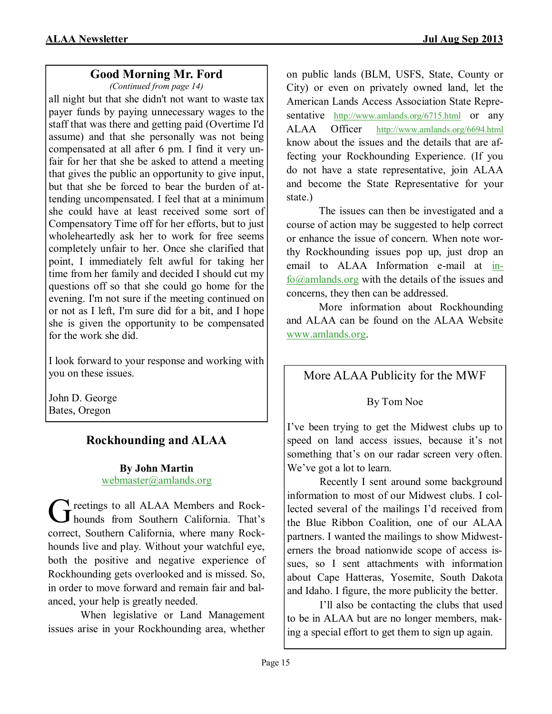# **Good Morning Mr. Ford**

*(Continued from page 14)*

all night but that she didn't not want to waste tax payer funds by paying unnecessary wages to the staff that was there and getting paid (Overtime I'd assume) and that she personally was not being compensated at all after 6 pm. I find it very unfair for her that she be asked to attend a meeting that gives the public an opportunity to give input, but that she be forced to bear the burden of attending uncompensated. I feel that at a minimum she could have at least received some sort of Compensatory Time off for her efforts, but to just wholeheartedly ask her to work for free seems completely unfair to her. Once she clarified that point, I immediately felt awful for taking her time from her family and decided I should cut my questions off so that she could go home for the evening. I'm not sure if the meeting continued on or not as I left, I'm sure did for a bit, and I hope she is given the opportunity to be compensated for the work she did.

I look forward to your response and working with you on these issues.

John D. George Bates, Oregon

# **Rockhounding and ALAA**

# **By John Martin** [webmaster@amlands.org](mailto:plac-south@antelecom.net)

G reetings to all ALAA Members and Rock-<br>bounds from Southern California. That's **T** reetings to all ALAA Members and Rockcorrect, Southern California, where many Rockhounds live and play. Without your watchful eye, both the positive and negative experience of Rockhounding gets overlooked and is missed. So, in order to move forward and remain fair and balanced, your help is greatly needed.

When legislative or Land Management issues arise in your Rockhounding area, whether on public lands (BLM, USFS, State, County or City) or even on privately owned land, let the American Lands Access Association State Representative <http://www.amlands.org/6715.html> or any ALAA Officer <http://www.amlands.org/6694.html> know about the issues and the details that are affecting your Rockhounding Experience. (If you do not have a state representative, join ALAA and become the State Representative for your state.)

The issues can then be investigated and a course of action may be suggested to help correct or enhance the issue of concern. When note worthy Rockhounding issues pop up, just drop an email to ALAA Information e-mail at [in](mailto:info@amlands.org)[fo@amlands.org](mailto:info@amlands.org) with the details of the issues and concerns, they then can be addressed.

More information about Rockhounding and ALAA can be found on the ALAA Website [www.amlands.org.](http://www.amlands.org/)

# More ALAA Publicity for the MWF

By Tom Noe

I've been trying to get the Midwest clubs up to speed on land access issues, because it's not something that's on our radar screen very often. We've got a lot to learn.

Recently I sent around some background information to most of our Midwest clubs. I collected several of the mailings I'd received from the Blue Ribbon Coalition, one of our ALAA partners. I wanted the mailings to show Midwesterners the broad nationwide scope of access issues, so I sent attachments with information about Cape Hatteras, Yosemite, South Dakota and Idaho. I figure, the more publicity the better.

I'll also be contacting the clubs that used to be in ALAA but are no longer members, making a special effort to get them to sign up again.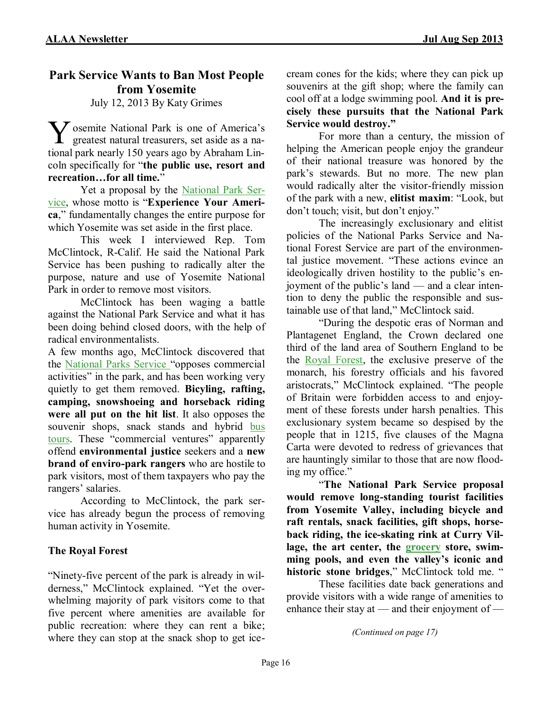# **Park Service Wants to Ban Most People from Yosemite**

July 12, 2013 By Katy Grimes

V osemite National Park is one of America's greatest natural treasurers, set aside as a nagreatest natural treasurers, set aside as a national park nearly 150 years ago by Abraham Lincoln specifically for "**the public use, resort and recreation…for all time.**"

Yet a proposal by the [National Park Ser](http://www.nps.gov/index.htm)[vice,](http://www.nps.gov/index.htm) whose motto is "**Experience Your America**," fundamentally changes the entire purpose for which Yosemite was set aside in the first place.

This week I interviewed Rep. Tom McClintock, R-Calif. He said the National Park Service has been pushing to radically alter the purpose, nature and use of Yosemite National Park in order to remove most visitors.

McClintock has been waging a battle against the National Park Service and what it has been doing behind closed doors, with the help of radical environmentalists.

A few months ago, McClintock discovered that the [National Parks Service "](http://www.nps.gov/index.htm)opposes commercial activities" in the park, and has been working very quietly to get them removed. **Bicyling, rafting, camping, snowshoeing and horseback riding were all put on the hit list**. It also opposes the souvenir shops, snack stands and hybrid bus [tours.](http://www.capoliticalreview.com/top-stories/park-service-wants-to-ban-most-people-from-yosemite/?utm_source=CAPoliticalReview.com&utm_campaign=2ecd97844f-RSS_EMAIL_CAMPAIGN&utm_medium=email&utm_term=0_b855a22bd3-2ecd97844f-302683941) These "commercial ventures" apparently offend **environmental justice** seekers and a **new brand of enviro-park rangers** who are hostile to park visitors, most of them taxpayers who pay the rangers' salaries.

According to McClintock, the park service has already begun the process of removing human activity in Yosemite.

# **The Royal Forest**

"Ninety-five percent of the park is already in wilderness," McClintock explained. "Yet the overwhelming majority of park visitors come to that five percent where amenities are available for public recreation: where they can rent a bike; where they can stop at the snack shop to get icecream cones for the kids; where they can pick up souvenirs at the gift shop; where the family can cool off at a lodge swimming pool. **And it is precisely these pursuits that the National Park Service would destroy."**

For more than a century, the mission of helping the American people enjoy the grandeur of their national treasure was honored by the park's stewards. But no more. The new plan would radically alter the visitor-friendly mission of the park with a new, **elitist maxim**: "Look, but don't touch; visit, but don't enjoy."

The increasingly exclusionary and elitist policies of the National Parks Service and National Forest Service are part of the environmental justice movement. "These actions evince an ideologically driven hostility to the public's enjoyment of the public's land — and a clear intention to deny the public the responsible and sustainable use of that land," McClintock said.

"During the despotic eras of Norman and Plantagenet England, the Crown declared one third of the land area of Southern England to be the [Royal Forest,](http://www.earlyenglishlaws.ac.uk/reference/essays/forest-law/) the exclusive preserve of the monarch, his forestry officials and his favored aristocrats," McClintock explained. "The people of Britain were forbidden access to and enjoyment of these forests under harsh penalties. This exclusionary system became so despised by the people that in 1215, five clauses of the Magna Carta were devoted to redress of grievances that are hauntingly similar to those that are now flooding my office."

"**The National Park Service proposal would remove long-standing tourist facilities from Yosemite Valley, including bicycle and raft rentals, snack facilities, gift shops, horseback riding, the ice-skating rink at Curry Village, the art center, the [grocery](http://www.capoliticalreview.com/top-stories/park-service-wants-to-ban-most-people-from-yosemite/?utm_source=CAPoliticalReview.com&utm_campaign=2ecd97844f-RSS_EMAIL_CAMPAIGN&utm_medium=email&utm_term=0_b855a22bd3-2ecd97844f-302683941) store, swimming pools, and even the valley's iconic and historic stone bridges**," McClintock told me. "

These facilities date back generations and provide visitors with a wide range of amenities to enhance their stay at — and their enjoyment of —

*(Continued on page 17)*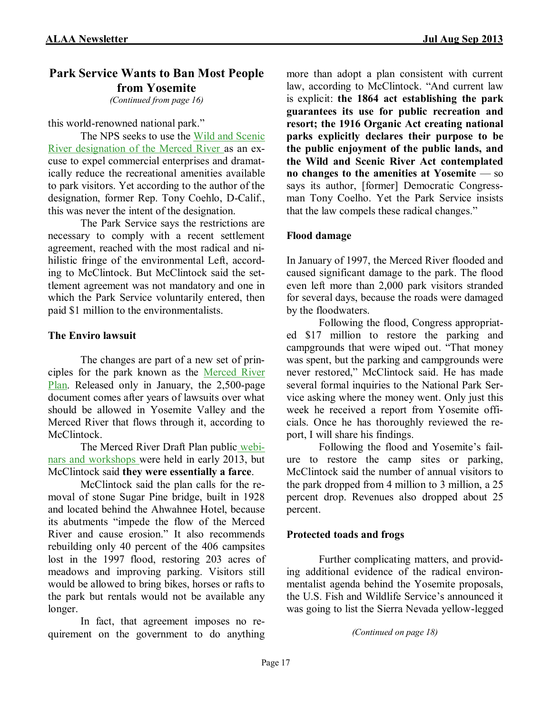# **Park Service Wants to Ban Most People from Yosemite**

*(Continued from page 16)*

#### this world-renowned national park."

The NPS seeks to use the [Wild and Scenic](http://www.nps.gov/yose/parkmgmt/mrp.htm)  [River designation of the Merced River a](http://www.nps.gov/yose/parkmgmt/mrp.htm)s an excuse to expel commercial enterprises and dramatically reduce the recreational amenities available to park visitors. Yet according to the author of the designation, former Rep. Tony Coehlo, D-Calif., this was never the intent of the designation.

The Park Service says the restrictions are necessary to comply with a recent settlement agreement, reached with the most radical and nihilistic fringe of the environmental Left, according to McClintock. But McClintock said the settlement agreement was not mandatory and one in which the Park Service voluntarily entered, then paid \$1 million to the environmentalists.

#### **The Enviro lawsuit**

The changes are part of a new set of principles for the park known as the [Merced River](http://www.nps.gov/yose/parkmgmt/mrp.htm)  [Plan.](http://www.nps.gov/yose/parkmgmt/mrp.htm) Released only in January, the 2,500-page document comes after years of lawsuits over what should be allowed in Yosemite Valley and the Merced River that flows through it, according to **McClintock** 

The Merced River Draft Plan public [webi](http://www.nps.gov/yose/parkmgmt/mrp-deis.htm)[nars and workshops w](http://www.nps.gov/yose/parkmgmt/mrp-deis.htm)ere held in early 2013, but McClintock said **they were essentially a farce**.

McClintock said the plan calls for the removal of stone Sugar Pine bridge, built in 1928 and located behind the Ahwahnee Hotel, because its abutments "impede the flow of the Merced River and cause erosion." It also recommends rebuilding only 40 percent of the 406 campsites lost in the 1997 flood, restoring 203 acres of meadows and improving parking. Visitors still would be allowed to bring bikes, horses or rafts to the park but rentals would not be available any longer.

In fact, that agreement imposes no requirement on the government to do anything more than adopt a plan consistent with current law, according to McClintock. "And current law is explicit: **the 1864 act establishing the park guarantees its use for public recreation and resort; the 1916 Organic Act creating national parks explicitly declares their purpose to be the public enjoyment of the public lands, and the Wild and Scenic River Act contemplated no changes to the amenities at Yosemite** — so says its author, [former] Democratic Congressman Tony Coelho. Yet the Park Service insists that the law compels these radical changes."

### **Flood damage**

In January of 1997, the Merced River flooded and caused significant damage to the park. The flood even left more than 2,000 park visitors stranded for several days, because the roads were damaged by the floodwaters.

Following the flood, Congress appropriated \$17 million to restore the parking and campgrounds that were wiped out. "That money was spent, but the parking and campgrounds were never restored," McClintock said. He has made several formal inquiries to the National Park Service asking where the money went. Only just this week he received a report from Yosemite officials. Once he has thoroughly reviewed the report, I will share his findings.

Following the flood and Yosemite's failure to restore the camp sites or parking, McClintock said the number of annual visitors to the park dropped from 4 million to 3 million, a 25 percent drop. Revenues also dropped about 25 percent.

#### **Protected toads and frogs**

Further complicating matters, and providing additional evidence of the radical environmentalist agenda behind the Yosemite proposals, the U.S. Fish and Wildlife Service's announced it was going to list the Sierra Nevada yellow-legged

```
(Continued on page 18)
```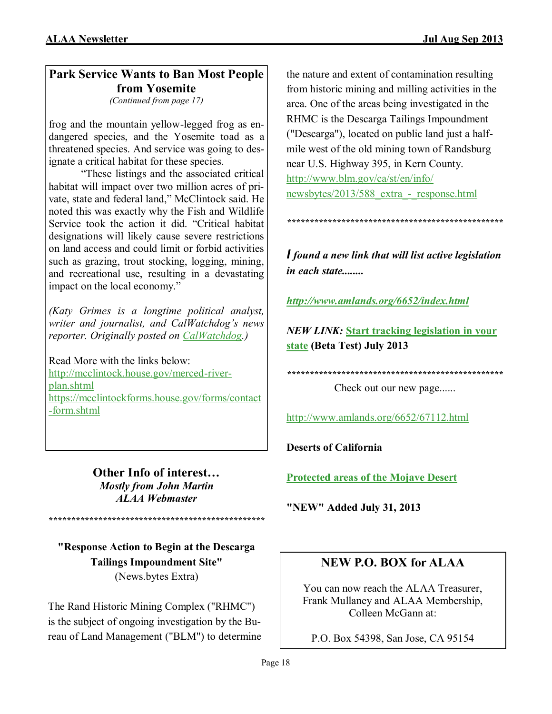# **Park Service Wants to Ban Most People from Yosemite**

*(Continued from page 17)*

frog and the mountain yellow-legged frog as endangered species, and the Yosemite toad as a threatened species. And service was going to designate a critical habitat for these species.

"These listings and the associated critical habitat will impact over two million acres of private, state and federal land," McClintock said. He noted this was exactly why the Fish and Wildlife Service took the action it did. "Critical habitat designations will likely cause severe restrictions on land access and could limit or forbid activities such as grazing, trout stocking, logging, mining, and recreational use, resulting in a devastating impact on the local economy."

*(Katy Grimes is a longtime political analyst, writer and journalist, and CalWatchdog's news reporter. Originally posted on [CalWatchdog.\)](http://www.calwatchdog.com/)*

Read More with the links below: [http://mcclintock.house.gov/merced](http://mcclintock.house.gov/merced-river-plan.shtml)-river[plan.shtml](http://mcclintock.house.gov/merced-river-plan.shtml) [https://mcclintockforms.house.gov/forms/contact](https://mcclintockforms.house.gov/forms/contact-form.shtml) -[form.shtml](https://mcclintockforms.house.gov/forms/contact-form.shtml)

> **Other Info of interest…** *Mostly from John Martin ALAA Webmaster*

**"Response Action to Begin at the Descarga Tailings Impoundment Site"** (News.bytes Extra)

*\*\*\*\*\*\*\*\*\*\*\*\*\*\*\*\*\*\*\*\*\*\*\*\*\*\*\*\*\*\*\*\*\*\*\*\*\*\*\*\*\*\*\*\*\*\*\*\**

The Rand Historic Mining Complex ("RHMC") is the subject of ongoing investigation by the Bureau of Land Management ("BLM") to determine

the nature and extent of contamination resulting from historic mining and milling activities in the area. One of the areas being investigated in the RHMC is the Descarga Tailings Impoundment ("Descarga"), located on public land just a halfmile west of the old mining town of Randsburg near U.S. Highway 395, in Kern County. [http://www.blm.gov/ca/st/en/info/](http://www.elabs10.com/c.html?ufl=3&rtr=on&s=x8pbwi,1k87p,3xn3,7ca,f0j8,55v6,k1mc) [newsbytes/2013/588\\_extra\\_](http://www.elabs10.com/c.html?ufl=3&rtr=on&s=x8pbwi,1k87p,3xn3,7ca,f0j8,55v6,k1mc)-\_response.html

*I found a new link that will list active legislation in each state........*

*\*\*\*\*\*\*\*\*\*\*\*\*\*\*\*\*\*\*\*\*\*\*\*\*\*\*\*\*\*\*\*\*\*\*\*\*\*\*\*\*\*\*\*\*\*\*\*\**

*<http://www.amlands.org/6652/index.html>*

*NEW LINK:* **[Start tracking legislation in your](javascript:;)  [state](javascript:;) (Beta Test) July 2013**

*\*\*\*\*\*\*\*\*\*\*\*\*\*\*\*\*\*\*\*\*\*\*\*\*\*\*\*\*\*\*\*\*\*\*\*\*\*\*\*\*\*\*\*\*\*\*\*\**

Check out our new page......

<http://www.amlands.org/6652/67112.html>

**Deserts of California**

**[Protected areas of the Mojave Desert](javascript:changePage()**

**"NEW" Added July 31, 2013**

# **NEW P.O. BOX for ALAA**

You can now reach the ALAA Treasurer, Frank Mullaney and ALAA Membership, Colleen McGann at:

P.O. Box 54398, San Jose, CA 95154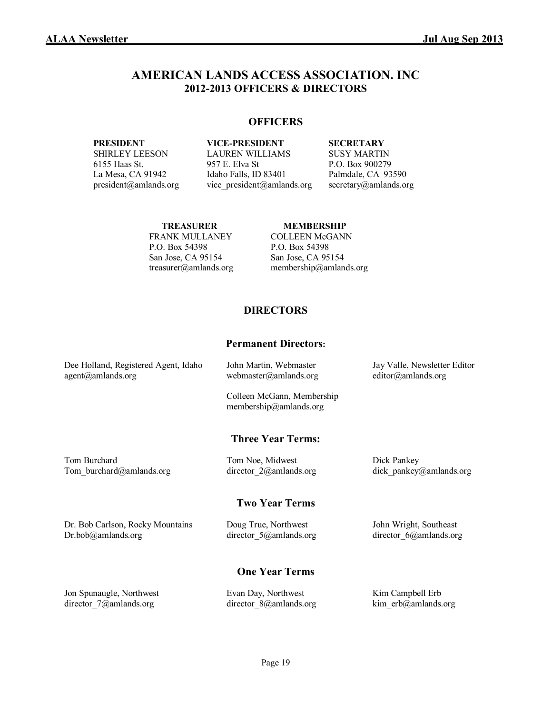### **AMERICAN LANDS ACCESS ASSOCIATION. INC 2012-2013 OFFICERS & DIRECTORS**

#### **OFFICERS**

**PRESIDENT VICE-PRESIDENT SECRETARY** SHIRLEY LEESON LAUREN WILLIAMS SUSY MARTIN 6155 Haas St. 957 E. Elva St P.O. Box 900279 La Mesa, CA 91942 Idaho Falls, ID 83401 Palmdale, CA 93590 president@amlands.org vice\_president@amlands.org secretary@amlands.org

# FRANK MULLANEY COLLEEN McGANN P.O. Box 54398 P.O. Box 54398 San Jose, CA 95154 San Jose, CA 95154

#### **TREASURER MEMBERSHIP**

treasurer@amlands.org membership@amlands.org

#### **DIRECTORS**

#### **Permanent Directors:**

| Dee Holland, Registered Agent, Idaho | John Martin, Webmaster                               | Jay Valle, Newsletter Editor |
|--------------------------------------|------------------------------------------------------|------------------------------|
| agent@amlands.org                    | webmaster@amlands.org                                | editor@amlands.org           |
|                                      | Colleen McGann, Membership<br>membership@amlands.org |                              |
|                                      | <b>Three Year Terms:</b>                             |                              |
| Tom Burchard                         | Tom Noe, Midwest                                     | Dick Pankey                  |
| Tom burchard@amlands.org             | director $2\omega$ amlands.org                       | dick pankey@amlands.org      |

#### **Two Year Terms**

Dr. Bob Carlson, Rocky Mountains Doug True, Northwest John Wright, Southeast Dr.bob@amlands.org director\_5@amlands.org director\_6@amlands.org

#### **One Year Terms**

Jon Spunaugle, Northwest Evan Day, Northwest Kim Campbell Erb director\_7@amlands.org director\_8@amlands.org kim\_erb@amlands.org